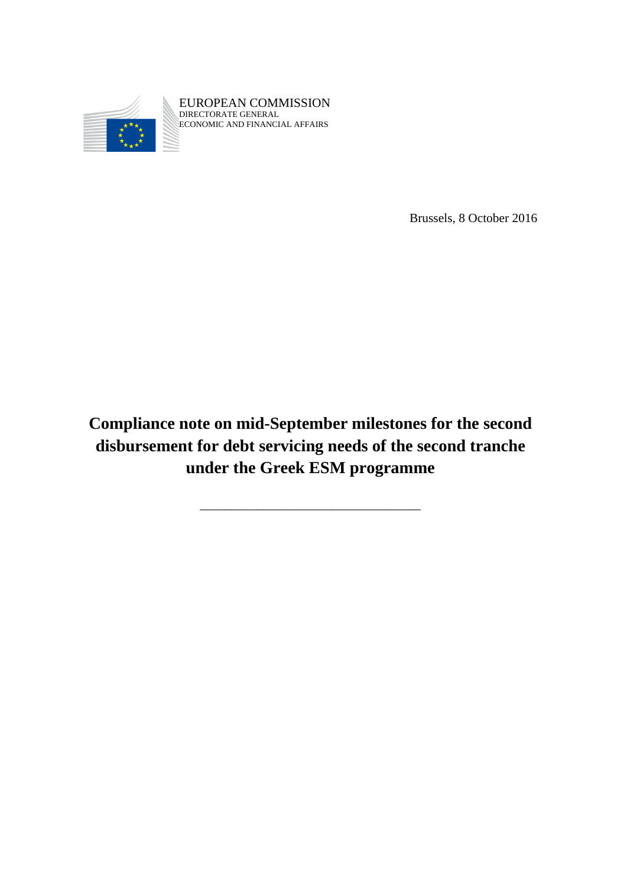

EUROPEAN COMMISSION DIRECTORATE GENERAL ECONOMIC AND FINANCIAL AFFAIRS

Brussels, 8 October 2016

**Compliance note on mid-September milestones for the second disbursement for debt servicing needs of the second tranche under the Greek ESM programme**

\_\_\_\_\_\_\_\_\_\_\_\_\_\_\_\_\_\_\_\_\_\_\_\_\_\_\_\_\_\_\_\_\_\_\_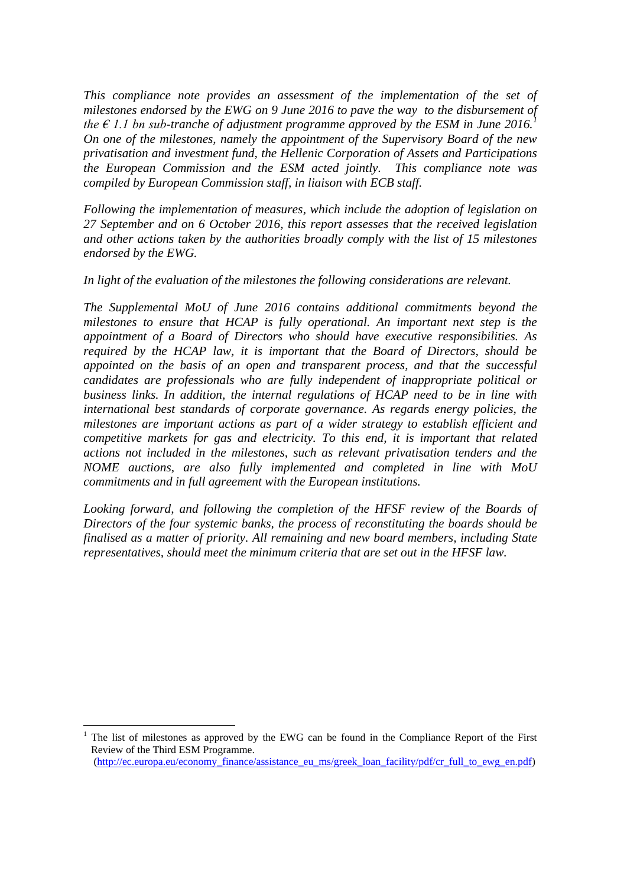*This compliance note provides an assessment of the implementation of the set of milestones endorsed by the EWG on 9 June 2016 to pave the way to the disbursement of the*  $\epsilon$  1.1 bn sub-tranche of adjustment programme approved by the ESM in June 2016.<sup>1</sup> *On one of the milestones, namely the appointment of the Supervisory Board of the new privatisation and investment fund, the Hellenic Corporation of Assets and Participations the European Commission and the ESM acted jointly. This compliance note was compiled by European Commission staff, in liaison with ECB staff.* 

*Following the implementation of measures, which include the adoption of legislation on 27 September and on 6 October 2016, this report assesses that the received legislation and other actions taken by the authorities broadly comply with the list of 15 milestones endorsed by the EWG.* 

*In light of the evaluation of the milestones the following considerations are relevant.*

*The Supplemental MoU of June 2016 contains additional commitments beyond the milestones to ensure that HCAP is fully operational. An important next step is the appointment of a Board of Directors who should have executive responsibilities. As required by the HCAP law, it is important that the Board of Directors, should be appointed on the basis of an open and transparent process, and that the successful candidates are professionals who are fully independent of inappropriate political or business links. In addition, the internal regulations of HCAP need to be in line with international best standards of corporate governance. As regards energy policies, the milestones are important actions as part of a wider strategy to establish efficient and competitive markets for gas and electricity. To this end, it is important that related actions not included in the milestones, such as relevant privatisation tenders and the NOME auctions, are also fully implemented and completed in line with MoU commitments and in full agreement with the European institutions.* 

Looking forward, and following the completion of the HFSF review of the Boards of *Directors of the four systemic banks, the process of reconstituting the boards should be finalised as a matter of priority. All remaining and new board members, including State representatives, should meet the minimum criteria that are set out in the HFSF law.*

 $\overline{a}$ 

<sup>1</sup> The list of milestones as approved by the EWG can be found in the Compliance Report of the First Review of the Third ESM Programme. [\(http://ec.europa.eu/economy\\_finance/assistance\\_eu\\_ms/greek\\_loan\\_facility/pdf/cr\\_full\\_to\\_ewg\\_en.pdf\)](http://ec.europa.eu/economy_finance/assistance_eu_ms/greek_loan_facility/pdf/cr_full_to_ewg_en.pdf)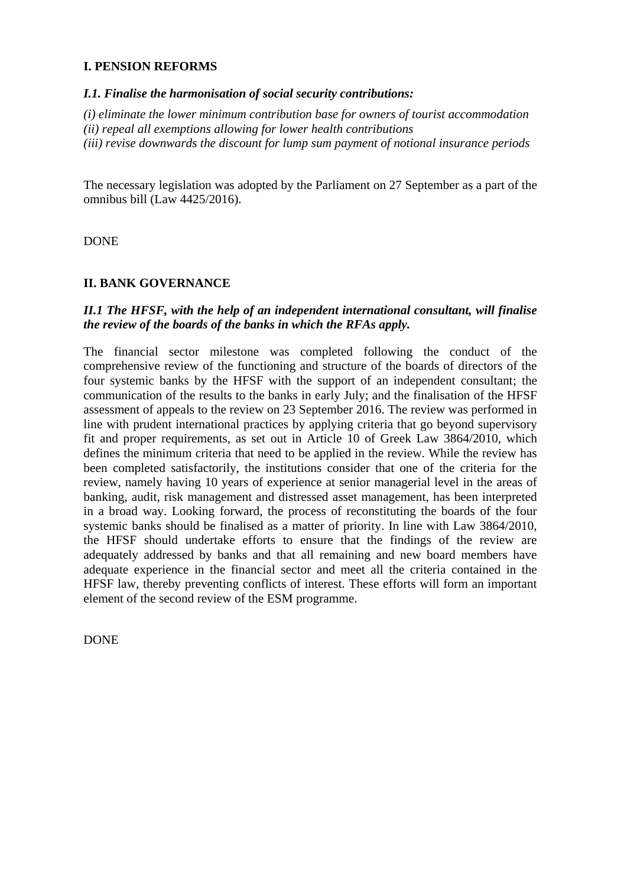# **I. PENSION REFORMS**

### *I.1. Finalise the harmonisation of social security contributions:*

*(i) eliminate the lower minimum contribution base for owners of tourist accommodation (ii) repeal all exemptions allowing for lower health contributions*

*(iii) revise downwards the discount for lump sum payment of notional insurance periods*

The necessary legislation was adopted by the Parliament on 27 September as a part of the omnibus bill (Law 4425/2016).

DONE

# **II. BANK GOVERNANCE**

### *II.1 The HFSF, with the help of an independent international consultant, will finalise the review of the boards of the banks in which the RFAs apply.*

The financial sector milestone was completed following the conduct of the comprehensive review of the functioning and structure of the boards of directors of the four systemic banks by the HFSF with the support of an independent consultant; the communication of the results to the banks in early July; and the finalisation of the HFSF assessment of appeals to the review on 23 September 2016. The review was performed in line with prudent international practices by applying criteria that go beyond supervisory fit and proper requirements, as set out in Article 10 of Greek Law 3864/2010, which defines the minimum criteria that need to be applied in the review. While the review has been completed satisfactorily, the institutions consider that one of the criteria for the review, namely having 10 years of experience at senior managerial level in the areas of banking, audit, risk management and distressed asset management, has been interpreted in a broad way. Looking forward, the process of reconstituting the boards of the four systemic banks should be finalised as a matter of priority. In line with Law 3864/2010, the HFSF should undertake efforts to ensure that the findings of the review are adequately addressed by banks and that all remaining and new board members have adequate experience in the financial sector and meet all the criteria contained in the HFSF law, thereby preventing conflicts of interest. These efforts will form an important element of the second review of the ESM programme.

DONE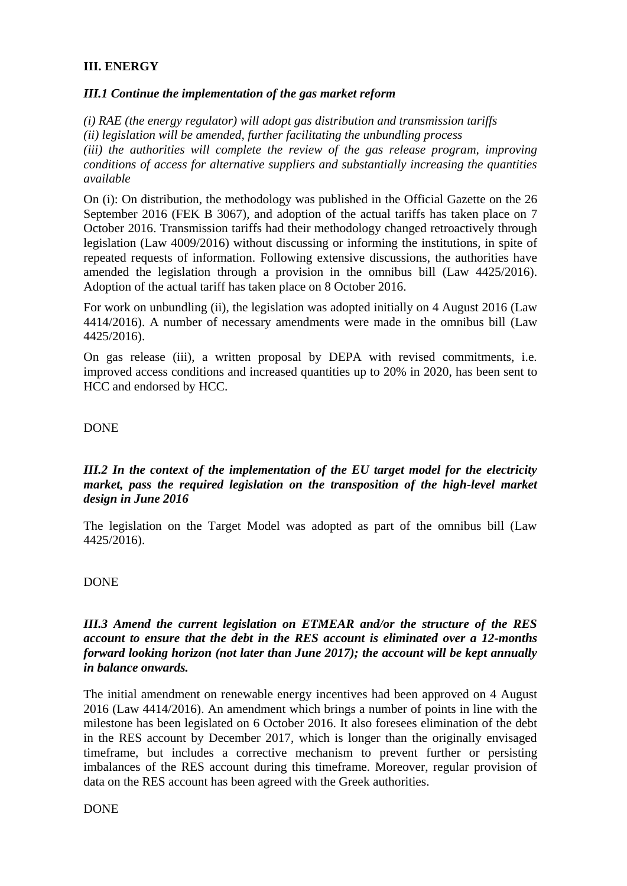# **III. ENERGY**

### *III.1 Continue the implementation of the gas market reform*

*(i) RAE (the energy regulator) will adopt gas distribution and transmission tariffs (ii) legislation will be amended, further facilitating the unbundling process (iii) the authorities will complete the review of the gas release program, improving conditions of access for alternative suppliers and substantially increasing the quantities available*

On (i): On distribution, the methodology was published in the Official Gazette on the 26 September 2016 (FEK B 3067), and adoption of the actual tariffs has taken place on 7 October 2016. Transmission tariffs had their methodology changed retroactively through legislation (Law 4009/2016) without discussing or informing the institutions, in spite of repeated requests of information. Following extensive discussions, the authorities have amended the legislation through a provision in the omnibus bill (Law 4425/2016). Adoption of the actual tariff has taken place on 8 October 2016.

For work on unbundling (ii), the legislation was adopted initially on 4 August 2016 (Law 4414/2016). A number of necessary amendments were made in the omnibus bill (Law 4425/2016).

On gas release (iii), a written proposal by DEPA with revised commitments, i.e. improved access conditions and increased quantities up to 20% in 2020, has been sent to HCC and endorsed by HCC.

#### DONE

### *III.2 In the context of the implementation of the EU target model for the electricity market, pass the required legislation on the transposition of the high-level market design in June 2016*

The legislation on the Target Model was adopted as part of the omnibus bill (Law 4425/2016).

#### DONE

### *III.3 Amend the current legislation on ETMEAR and/or the structure of the RES account to ensure that the debt in the RES account is eliminated over a 12-months forward looking horizon (not later than June 2017); the account will be kept annually in balance onwards.*

The initial amendment on renewable energy incentives had been approved on 4 August 2016 (Law 4414/2016). An amendment which brings a number of points in line with the milestone has been legislated on 6 October 2016. It also foresees elimination of the debt in the RES account by December 2017, which is longer than the originally envisaged timeframe, but includes a corrective mechanism to prevent further or persisting imbalances of the RES account during this timeframe. Moreover, regular provision of data on the RES account has been agreed with the Greek authorities.

DONE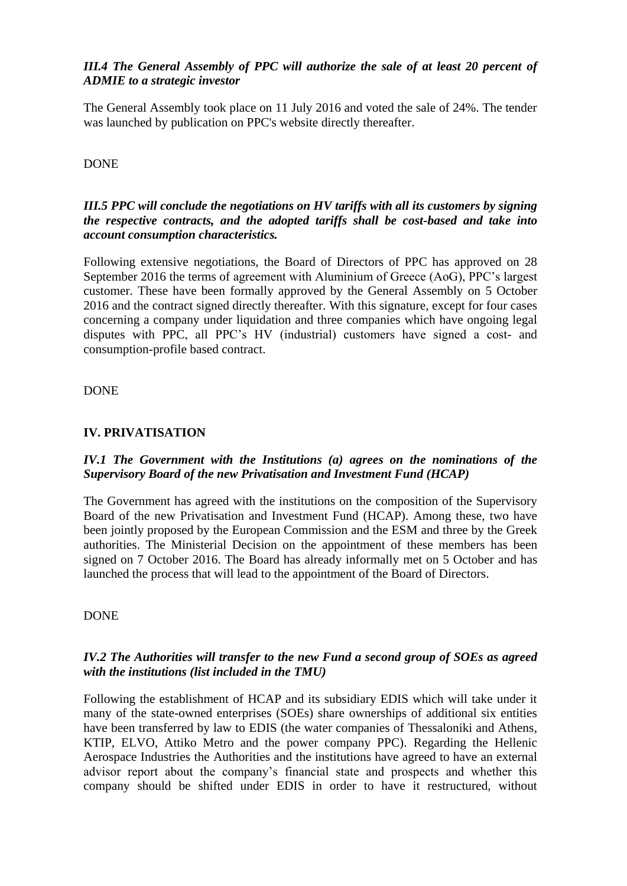# *III.4 The General Assembly of PPC will authorize the sale of at least 20 percent of ADMIE to a strategic investor*

The General Assembly took place on 11 July 2016 and voted the sale of 24%. The tender was launched by publication on PPC's website directly thereafter.

### DONE

### *III.5 PPC will conclude the negotiations on HV tariffs with all its customers by signing the respective contracts, and the adopted tariffs shall be cost-based and take into account consumption characteristics.*

Following extensive negotiations, the Board of Directors of PPC has approved on 28 September 2016 the terms of agreement with Aluminium of Greece (AoG), PPC's largest customer. These have been formally approved by the General Assembly on 5 October 2016 and the contract signed directly thereafter. With this signature, except for four cases concerning a company under liquidation and three companies which have ongoing legal disputes with PPC, all PPC's HV (industrial) customers have signed a cost- and consumption-profile based contract.

DONE

### **IV. PRIVATISATION**

### *IV.1 The Government with the Institutions (a) agrees on the nominations of the Supervisory Board of the new Privatisation and Investment Fund (HCAP)*

The Government has agreed with the institutions on the composition of the Supervisory Board of the new Privatisation and Investment Fund (HCAP). Among these, two have been jointly proposed by the European Commission and the ESM and three by the Greek authorities. The Ministerial Decision on the appointment of these members has been signed on 7 October 2016. The Board has already informally met on 5 October and has launched the process that will lead to the appointment of the Board of Directors.

#### DONE

# *IV.2 The Authorities will transfer to the new Fund a second group of SOEs as agreed with the institutions (list included in the TMU)*

Following the establishment of HCAP and its subsidiary EDIS which will take under it many of the state-owned enterprises (SOEs) share ownerships of additional six entities have been transferred by law to EDIS (the water companies of Thessaloniki and Athens, KTIP, ELVO, Attiko Metro and the power company PPC). Regarding the Hellenic Aerospace Industries the Authorities and the institutions have agreed to have an external advisor report about the company's financial state and prospects and whether this company should be shifted under EDIS in order to have it restructured, without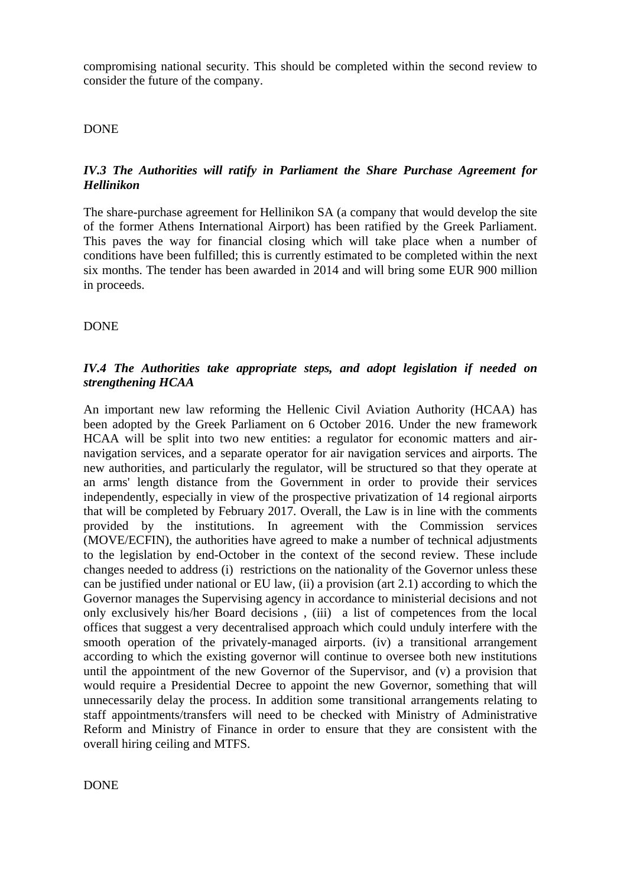compromising national security. This should be completed within the second review to consider the future of the company.

### DONE

# *IV.3 The Authorities will ratify in Parliament the Share Purchase Agreement for Hellinikon*

The share-purchase agreement for Hellinikon SA (a company that would develop the site of the former Athens International Airport) has been ratified by the Greek Parliament. This paves the way for financial closing which will take place when a number of conditions have been fulfilled; this is currently estimated to be completed within the next six months. The tender has been awarded in 2014 and will bring some EUR 900 million in proceeds.

### DONE

### *IV.4 The Authorities take appropriate steps, and adopt legislation if needed on strengthening HCAA*

An important new law reforming the Hellenic Civil Aviation Authority (HCAA) has been adopted by the Greek Parliament on 6 October 2016. Under the new framework HCAA will be split into two new entities: a regulator for economic matters and airnavigation services, and a separate operator for air navigation services and airports. The new authorities, and particularly the regulator, will be structured so that they operate at an arms' length distance from the Government in order to provide their services independently, especially in view of the prospective privatization of 14 regional airports that will be completed by February 2017. Overall, the Law is in line with the comments provided by the institutions. In agreement with the Commission services (MOVE/ECFIN), the authorities have agreed to make a number of technical adjustments to the legislation by end-October in the context of the second review. These include changes needed to address (i) restrictions on the nationality of the Governor unless these can be justified under national or EU law, (ii) a provision (art 2.1) according to which the Governor manages the Supervising agency in accordance to ministerial decisions and not only exclusively his/her Board decisions , (iii) a list of competences from the local offices that suggest a very decentralised approach which could unduly interfere with the smooth operation of the privately-managed airports. (iv) a transitional arrangement according to which the existing governor will continue to oversee both new institutions until the appointment of the new Governor of the Supervisor, and (v) a provision that would require a Presidential Decree to appoint the new Governor, something that will unnecessarily delay the process. In addition some transitional arrangements relating to staff appointments/transfers will need to be checked with Ministry of Administrative Reform and Ministry of Finance in order to ensure that they are consistent with the overall hiring ceiling and MTFS.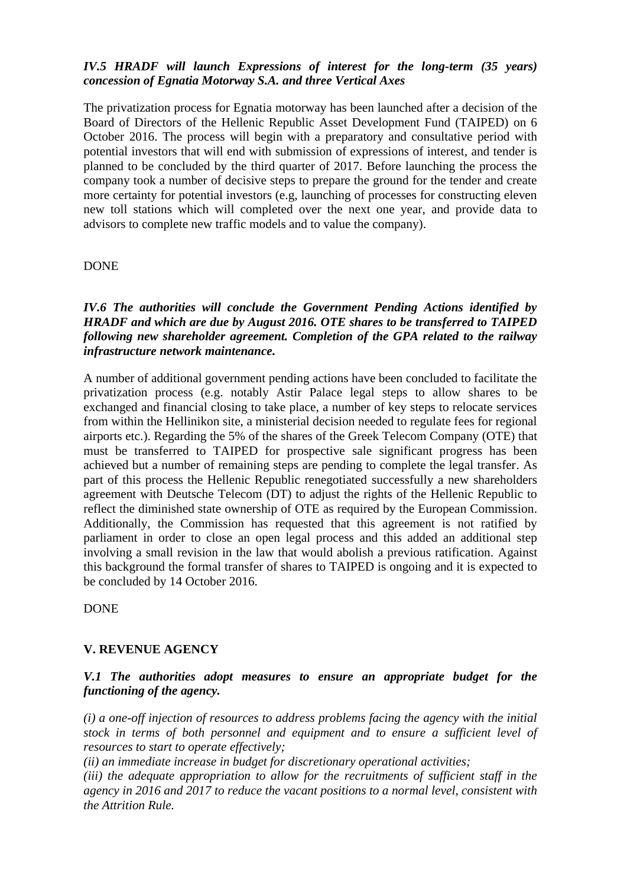# *IV.5 HRADF will launch Expressions of interest for the long-term (35 years) concession of Egnatia Motorway S.A. and three Vertical Axes*

The privatization process for Egnatia motorway has been launched after a decision of the Board of Directors of the Hellenic Republic Asset Development Fund (TAIPED) on 6 October 2016. The process will begin with a preparatory and consultative period with potential investors that will end with submission of expressions of interest, and tender is planned to be concluded by the third quarter of 2017. Before launching the process the company took a number of decisive steps to prepare the ground for the tender and create more certainty for potential investors (e.g, launching of processes for constructing eleven new toll stations which will completed over the next one year, and provide data to advisors to complete new traffic models and to value the company).

### DONE

*IV.6 The authorities will conclude the Government Pending Actions identified by HRADF and which are due by August 2016. OTE shares to be transferred to TAIPED following new shareholder agreement. Completion of the GPA related to the railway infrastructure network maintenance.*

A number of additional government pending actions have been concluded to facilitate the privatization process (e.g. notably Astir Palace legal steps to allow shares to be exchanged and financial closing to take place, a number of key steps to relocate services from within the Hellinikon site, a ministerial decision needed to regulate fees for regional airports etc.). Regarding the 5% of the shares of the Greek Telecom Company (OTE) that must be transferred to TAIPED for prospective sale significant progress has been achieved but a number of remaining steps are pending to complete the legal transfer. As part of this process the Hellenic Republic renegotiated successfully a new shareholders agreement with Deutsche Telecom (DT) to adjust the rights of the Hellenic Republic to reflect the diminished state ownership of OTE as required by the European Commission. Additionally, the Commission has requested that this agreement is not ratified by parliament in order to close an open legal process and this added an additional step involving a small revision in the law that would abolish a previous ratification. Against this background the formal transfer of shares to TAIPED is ongoing and it is expected to be concluded by 14 October 2016.

DONE

#### **V. REVENUE AGENCY**

### *V.1 The authorities adopt measures to ensure an appropriate budget for the functioning of the agency.*

*(i) a one-off injection of resources to address problems facing the agency with the initial stock in terms of both personnel and equipment and to ensure a sufficient level of resources to start to operate effectively;* 

*(ii) an immediate increase in budget for discretionary operational activities;* 

*(iii) the adequate appropriation to allow for the recruitments of sufficient staff in the agency in 2016 and 2017 to reduce the vacant positions to a normal level, consistent with the Attrition Rule.*